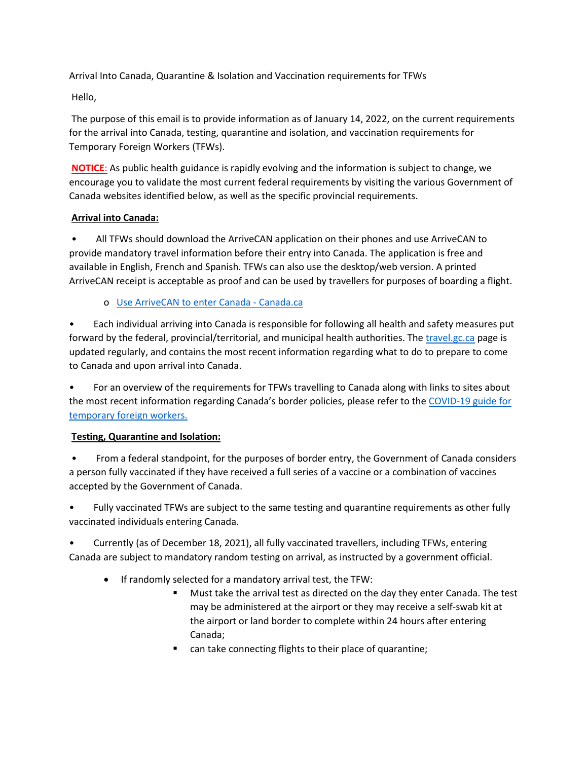Arrival Into Canada, Quarantine & Isolation and Vaccination requirements for TFWs

Hello,

The purpose of this email is to provide information as of January 14, 2022, on the current requirements for the arrival into Canada, testing, quarantine and isolation, and vaccination requirements for Temporary Foreign Workers (TFWs).

**NOTICE**: As public health guidance is rapidly evolving and the information is subject to change, we encourage you to validate the most current federal requirements by visiting the various Government of Canada websites identified below, as well as the specific provincial requirements.

## **Arrival into Canada:**

• All TFWs should download the ArriveCAN application on their phones and use ArriveCAN to provide mandatory travel information before their entry into Canada. The application is free and available in English, French and Spanish. TFWs can also use the desktop/web version. A printed ArriveCAN receipt is acceptable as proof and can be used by travellers for purposes of boarding a flight.

o [Use ArriveCAN to enter Canada -](https://www.canada.ca/en/public-health/services/diseases/coronavirus-disease-covid-19/arrivecan.html) Canada.ca

• Each individual arriving into Canada is responsible for following all health and safety measures put forward by the federal, provincial/territorial, and municipal health authorities. The [travel.gc.ca](https://travel.gc.ca/) page is updated regularly, and contains the most recent information regarding what to do to prepare to come to Canada and upon arrival into Canada.

• For an overview of the requirements for TFWs travelling to Canada along with links to sites about the most recent information regarding Canada's border policies, please refer to th[e COVID-19 guide for](https://www.canada.ca/en/employment-social-development/campaigns/foreign-worker-rights/covid19-guide.html)  [temporary foreign workers.](https://www.canada.ca/en/employment-social-development/campaigns/foreign-worker-rights/covid19-guide.html)

## **Testing, Quarantine and Isolation:**

• From a federal standpoint, for the purposes of border entry, the Government of Canada considers a person fully vaccinated if they have received a full series of a vaccine or a combination of vaccines accepted by the Government of Canada.

• Fully vaccinated TFWs are subject to the same testing and quarantine requirements as other fully vaccinated individuals entering Canada.

• Currently (as of December 18, 2021), all fully vaccinated travellers, including TFWs, entering Canada are subject to mandatory random testing on arrival, as instructed by a government official.

- If randomly selected for a mandatory arrival test, the TFW:
	- Must take the arrival test as directed on the day they enter Canada. The test may be administered at the airport or they may receive a self-swab kit at the airport or land border to complete within 24 hours after entering Canada;
	- can take connecting flights to their place of quarantine;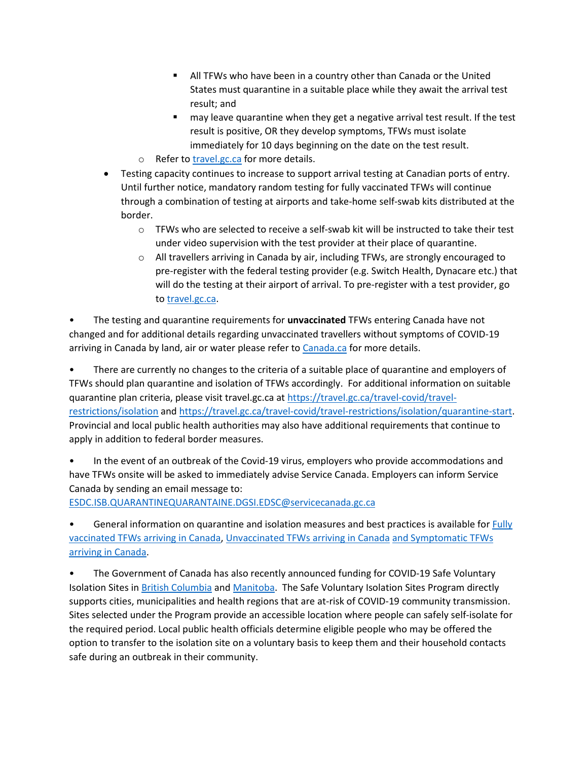- All TFWs who have been in a country other than Canada or the United States must quarantine in a suitable place while they await the arrival test result; and
- **nay leave quarantine when they get a negative arrival test result. If the test** result is positive, OR they develop symptoms, TFWs must isolate immediately for 10 days beginning on the date on the test result.
- o Refer t[o travel.gc.ca](http://travel.gc.ca/) for more details.
- Testing capacity continues to increase to support arrival testing at Canadian ports of entry. Until further notice, mandatory random testing for fully vaccinated TFWs will continue through a combination of testing at airports and take-home self-swab kits distributed at the border.
	- $\circ$  TFWs who are selected to receive a self-swab kit will be instructed to take their test under video supervision with the test provider at their place of quarantine.
	- o All travellers arriving in Canada by air, including TFWs, are strongly encouraged to pre-register with the federal testing provider (e.g. Switch Health, Dynacare etc.) that will do the testing at their airport of arrival. To pre-register with a test provider, go to [travel.gc.ca.](http://travel.gc.ca/)

• The testing and quarantine requirements for **unvaccinated** TFWs entering Canada have not changed and for additional details regarding unvaccinated travellers without symptoms of COVID-19 arriving in Canada by land, air or water please refer to [Canada.ca](https://www.canada.ca/en/public-health/services/publications/diseases-conditions/2019-novel-coronavirus-information-sheet.html) for more details.

• There are currently no changes to the criteria of a suitable place of quarantine and employers of TFWs should plan quarantine and isolation of TFWs accordingly. For additional information on suitable quarantine plan criteria, please visit travel.gc.ca at [https://travel.gc.ca/travel-covid/travel](https://travel.gc.ca/travel-covid/travel-restrictions/isolation)[restrictions/isolation](https://travel.gc.ca/travel-covid/travel-restrictions/isolation) an[d https://travel.gc.ca/travel-covid/travel-restrictions/isolation/quarantine-start.](https://travel.gc.ca/travel-covid/travel-restrictions/isolation/quarantine-start) Provincial and local public health authorities may also have additional requirements that continue to apply in addition to federal border measures.

• In the event of an outbreak of the Covid-19 virus, employers who provide accommodations and have TFWs onsite will be asked to immediately advise Service Canada. Employers can inform Service Canada by sending an email message to:

[ESDC.ISB.QUARANTINEQUARANTAINE.DGSI.EDSC@servicecanada.gc.ca](mailto:ESDC.ISB.QUARANTINEQUARANTAINE.DGSI.EDSC@servicecanada.gc.ca)

• General information on quarantine and isolation measures and best practices is available for [Fully](https://www.canada.ca/en/public-health/services/publications/diseases-conditions/covid-19-arrival-testing-fully-vaccinated-travellers-from-country-other-united-states-canada.html)  [vaccinated TFWs arriving in Canada,](https://www.canada.ca/en/public-health/services/publications/diseases-conditions/covid-19-arrival-testing-fully-vaccinated-travellers-from-country-other-united-states-canada.html) [Unvaccinated TFWs arriving in Canada](https://www.canada.ca/en/public-health/services/publications/diseases-conditions/2019-novel-coronavirus-information-sheet.html) [and Symptomatic TFWs](https://www.canada.ca/en/public-health/services/publications/diseases-conditions/travellers-with-symptoms-return-canada.html)  [arriving in Canada.](https://www.canada.ca/en/public-health/services/publications/diseases-conditions/travellers-with-symptoms-return-canada.html)

• The Government of Canada has also recently announced funding for COVID-19 Safe Voluntary Isolation Sites in [British Columbia](https://www.canada.ca/en/public-health/news/2021/11/government-of-canada-announces-funding-for-covid-19-safe-voluntary-isolation-sites-in-british-columbia.html) an[d Manitoba.](https://www.canada.ca/en/public-health/news/2021/12/government-of-canada-announces-funding-for-covid-19-safe-voluntary-isolation-sites-in-manitoba.html) The Safe Voluntary Isolation Sites Program directly supports cities, municipalities and health regions that are at-risk of COVID-19 community transmission. Sites selected under the Program provide an accessible location where people can safely self-isolate for the required period. Local public health officials determine eligible people who may be offered the option to transfer to the isolation site on a voluntary basis to keep them and their household contacts safe during an outbreak in their community.